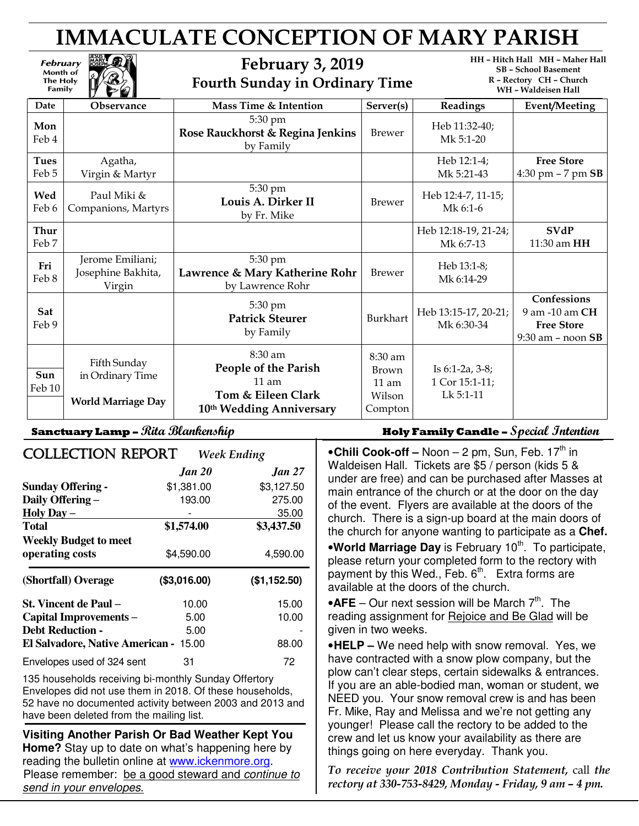# IMMACULATE CONCEPTION OF MARY PARISH

# February 3, 2019 Fourth Sunday in Ordinary Time

HH – Hitch Hall MH – Maher Hall SB – School Basement R – Rectory CH – Church WH – Waldeisen Hall

|                      | $\mathcal{U}$ $\mathcal{V}$                                   |                                                                                                |                                                                 |                                                      | VVII – VValueiseli Itali                                                      |
|----------------------|---------------------------------------------------------------|------------------------------------------------------------------------------------------------|-----------------------------------------------------------------|------------------------------------------------------|-------------------------------------------------------------------------------|
| Date                 | Observance                                                    | Mass Time & Intention                                                                          | Server(s)                                                       | Readings                                             | <b>Event/Meeting</b>                                                          |
| Mon<br>Feb 4         |                                                               | 5:30 pm<br>Rose Rauckhorst & Regina Jenkins<br>by Family                                       | <b>Brewer</b>                                                   | Heb 11:32-40;<br>Mk 5:1-20                           |                                                                               |
| <b>Tues</b><br>Feb 5 | Agatha,<br>Virgin & Martyr                                    |                                                                                                |                                                                 | Heb 12:1-4;<br>Mk 5:21-43                            | <b>Free Store</b><br>4:30 pm $-7$ pm $SB$                                     |
| Wed<br>Feb 6         | Paul Miki &<br>Companions, Martyrs                            | 5:30 pm<br>Louis A. Dirker II<br>by Fr. Mike                                                   | <b>Brewer</b>                                                   | Heb 12:4-7, 11-15;<br>Mk 6:1-6                       |                                                                               |
| Thur<br>Feb 7        |                                                               |                                                                                                |                                                                 | Heb 12:18-19, 21-24;<br>Mk 6:7-13                    | <b>SVdP</b><br>11:30 am HH                                                    |
| Fri<br>Feb 8         | Jerome Emiliani;<br>Josephine Bakhita,<br>Virgin              | 5:30 pm<br>Lawrence & Mary Katherine Rohr<br>by Lawrence Rohr                                  | <b>Brewer</b>                                                   | Heb 13:1-8;<br>Mk 6:14-29                            |                                                                               |
| Sat<br>Feb 9         |                                                               | 5:30 pm<br><b>Patrick Steurer</b><br>by Family                                                 | <b>Burkhart</b>                                                 | Heb 13:15-17, 20-21;<br>Mk 6:30-34                   | Confessions<br>9 am -10 am CH<br><b>Free Store</b><br>$9:30$ am $-$ noon $SB$ |
| Sun<br>Feb 10        | Fifth Sunday<br>in Ordinary Time<br><b>World Marriage Day</b> | $8:30$ am<br>People of the Parish<br>$11$ am<br>Tom & Eileen Clark<br>10th Wedding Anniversary | 8:30 am<br><b>Brown</b><br>$11 \text{ am}$<br>Wilson<br>Compton | Is $6:1-2a$ , $3-8$ ;<br>1 Cor 15:1-11;<br>Lk 5:1-11 |                                                                               |

February Month of **The Holy Family** 

| <b>COLLECTION REPORT</b>                        |               | <b>Week Ending</b> |
|-------------------------------------------------|---------------|--------------------|
|                                                 | <b>Jan 20</b> | <b>Jan 27</b>      |
| <b>Sunday Offering -</b>                        | \$1,381.00    | \$3,127.50         |
| Daily Offering -                                | 193.00        | 275.00             |
| Holy Day $-$                                    |               | 35.00              |
| <b>Total</b>                                    | \$1,574.00    | \$3,437.50         |
| <b>Weekly Budget to meet</b><br>operating costs | \$4,590.00    | 4,590.00           |
| (Shortfall) Overage                             | (\$3,016.00)  | (\$1,152.50)       |
| St. Vincent de Paul –                           | 10.00         | 15.00              |
| Capital Improvements-                           | 5.00          | 10.00              |
| <b>Debt Reduction -</b>                         | 5.00          |                    |
| <b>El Salvadore, Native American -</b>          | 15.00         | 88.00              |
| Envelopes used of 324 sent                      | 31            | 72                 |

135 households receiving bi-monthly Sunday Offertory Envelopes did not use them in 2018. Of these households, 52 have no documented activity between 2003 and 2013 and have been deleted from the mailing list.

**Visiting Another Parish Or Bad Weather Kept You Home?** Stay up to date on what's happening here by reading the bulletin online at www.ickenmore.org. Please remember: be a good steward and continue to send in your envelopes.

# Sanctuary Lamp – *Rita Blankenship* Holy Family Candle – S*pecial Intention*

• Chili Cook-off – Noon – 2 pm, Sun, Feb. 17<sup>th</sup> in Waldeisen Hall. Tickets are \$5 / person (kids 5 & under are free) and can be purchased after Masses at main entrance of the church or at the door on the day of the event. Flyers are available at the doors of the church. There is a sign-up board at the main doors of the church for anyone wanting to participate as a **Chef.** 

**•World Marriage Day** is February 10<sup>th</sup>. To participate, please return your completed form to the rectory with payment by this Wed., Feb.  $6<sup>th</sup>$ . Extra forms are available at the doors of the church.

 $\bullet$ **AFE** – Our next session will be March  $7<sup>th</sup>$ . The reading assignment for Rejoice and Be Glad will be given in two weeks.

•**HELP –** We need help with snow removal. Yes, we have contracted with a snow plow company, but the plow can't clear steps, certain sidewalks & entrances. If you are an able-bodied man, woman or student, we NEED you. Your snow removal crew is and has been Fr. Mike, Ray and Melissa and we're not getting any younger! Please call the rectory to be added to the crew and let us know your availability as there are things going on here everyday. Thank you.

To receive your 2018 Contribution Statement, call the rectory at 330-753-8429, Monday - Friday, 9 am – 4 pm.